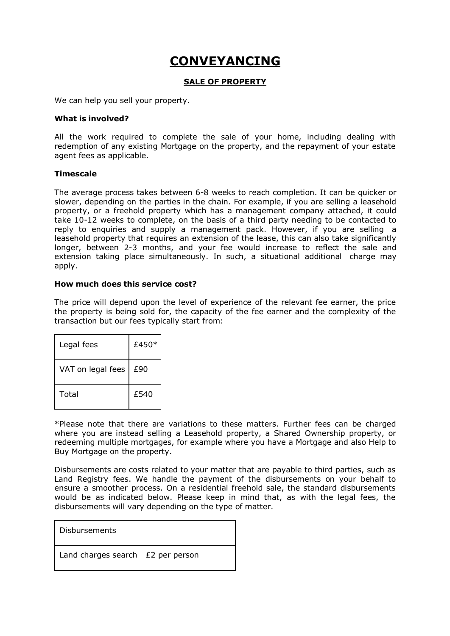# **CONVEYANCING**

#### **SALE OF PROPERTY**

We can help you sell your property.

#### **What is involved?**

All the work required to complete the sale of your home, including dealing with redemption of any existing Mortgage on the property, and the repayment of your estate agent fees as applicable.

#### **Timescale**

The average process takes between 6-8 weeks to reach completion. It can be quicker or slower, depending on the parties in the chain. For example, if you are selling a leasehold property, or a freehold property which has a management company attached, it could take 10-12 weeks to complete, on the basis of a third party needing to be contacted to reply to enquiries and supply a management pack. However, if you are selling a leasehold property that requires an extension of the lease, this can also take significantly longer, between 2-3 months, and your fee would increase to reflect the sale and extension taking place simultaneously. In such, a situational additional charge may apply.

#### **How much does this service cost?**

The price will depend upon the level of experience of the relevant fee earner, the price the property is being sold for, the capacity of the fee earner and the complexity of the transaction but our fees typically start from:

| Legal fees        | £450* |
|-------------------|-------|
| VAT on legal fees | £90   |
| Total             | £540  |

\*Please note that there are variations to these matters. Further fees can be charged where you are instead selling a Leasehold property, a Shared Ownership property, or redeeming multiple mortgages, for example where you have a Mortgage and also Help to Buy Mortgage on the property.

Disbursements are costs related to your matter that are payable to third parties, such as Land Registry fees. We handle the payment of the disbursements on your behalf to ensure a smoother process. On a residential freehold sale, the standard disbursements would be as indicated below. Please keep in mind that, as with the legal fees, the disbursements will vary depending on the type of matter.

| Disbursements                             |  |
|-------------------------------------------|--|
| Land charges search $\vert$ £2 per person |  |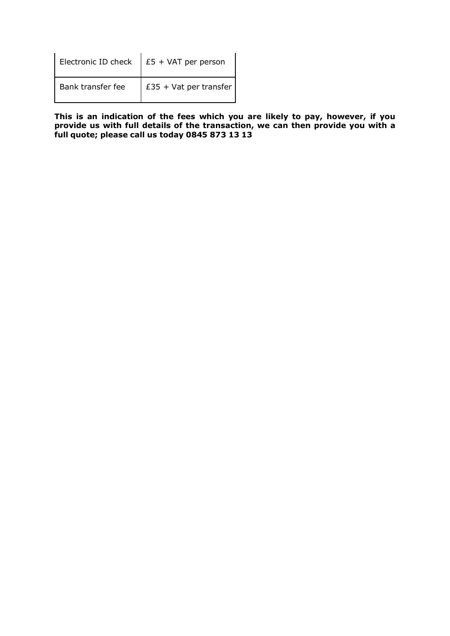|                   | Electronic ID check $\Big $ £5 + VAT per person |
|-------------------|-------------------------------------------------|
| Bank transfer fee | £35 + Vat per transfer                          |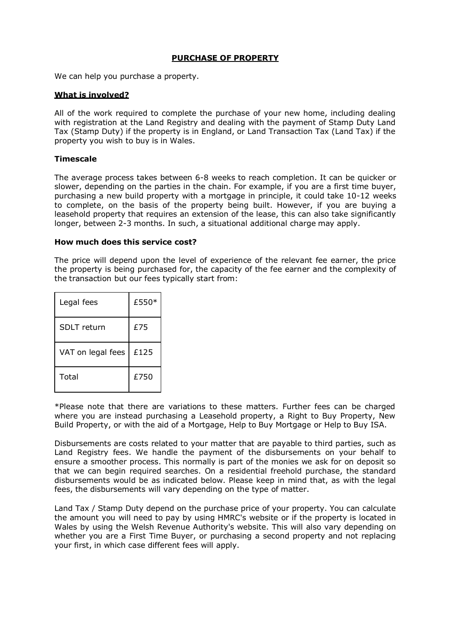#### **PURCHASE OF PROPERTY**

We can help you purchase a property.

#### **What is involved?**

All of the work required to complete the purchase of your new home, including dealing with registration at the Land Registry and dealing with the payment of Stamp Duty Land Tax (Stamp Duty) if the property is in England, or Land Transaction Tax (Land Tax) if the property you wish to buy is in Wales.

#### **Timescale**

The average process takes between 6-8 weeks to reach completion. It can be quicker or slower, depending on the parties in the chain. For example, if you are a first time buyer, purchasing a new build property with a mortgage in principle, it could take 10-12 weeks to complete, on the basis of the property being built. However, if you are buying a leasehold property that requires an extension of the lease, this can also take significantly longer, between 2-3 months. In such, a situational additional charge may apply.

#### **How much does this service cost?**

The price will depend upon the level of experience of the relevant fee earner, the price the property is being purchased for, the capacity of the fee earner and the complexity of the transaction but our fees typically start from:

| Legal fees         | £550* |
|--------------------|-------|
| <b>SDLT</b> return | £75   |
| VAT on legal fees  | £125  |
| Total              | £750  |

\*Please note that there are variations to these matters. Further fees can be charged where you are instead purchasing a Leasehold property, a Right to Buy Property, New Build Property, or with the aid of a Mortgage, Help to Buy Mortgage or Help to Buy ISA.

Disbursements are costs related to your matter that are payable to third parties, such as Land Registry fees. We handle the payment of the disbursements on your behalf to ensure a smoother process. This normally is part of the monies we ask for on deposit so that we can begin required searches. On a residential freehold purchase, the standard disbursements would be as indicated below. Please keep in mind that, as with the legal fees, the disbursements will vary depending on the type of matter.

Land Tax / Stamp Duty depend on the purchase price of your property. You can calculate the amount you will need to pay by using [HMRC's website o](https://www.tax.service.gov.uk/calculate-stamp-duty-land-tax/%23/intro)r if the property is located in Wales [by using the Welsh Revenue](https://beta.gov.wales/land-transaction-tax-calculator) Authority's website. This will also vary depending on whether you are a First Time Buyer, or purchasing a second property and not replacing your first, in which case different fees will apply.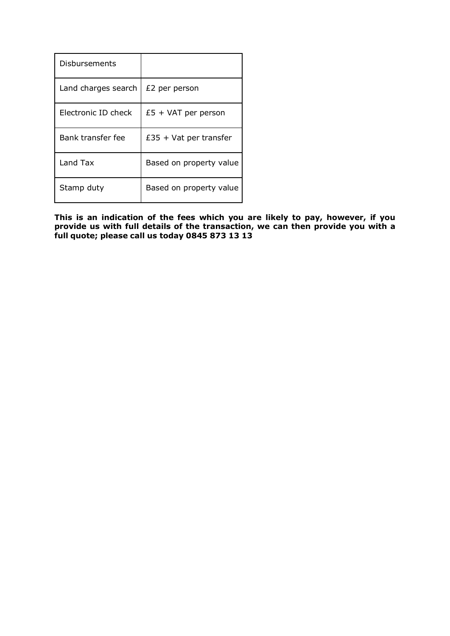| Disbursements       |                          |
|---------------------|--------------------------|
| Land charges search | £2 per person            |
| Electronic ID check | $£5 + VAT$ per person    |
| Bank transfer fee   | $£35 + Vat$ per transfer |
| Land Tax            | Based on property value  |
| Stamp duty          | Based on property value  |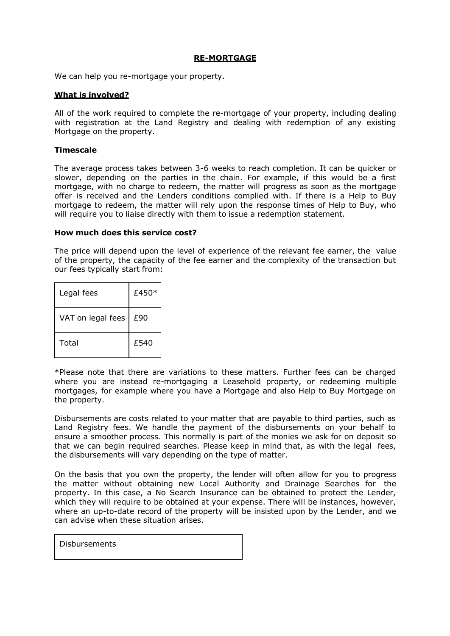#### **RE-MORTGAGE**

We can help you re-mortgage your property.

#### **What is involved?**

All of the work required to complete the re-mortgage of your property, including dealing with registration at the Land Registry and dealing with redemption of any existing Mortgage on the property.

#### **Timescale**

The average process takes between 3-6 weeks to reach completion. It can be quicker or slower, depending on the parties in the chain. For example, if this would be a first mortgage, with no charge to redeem, the matter will progress as soon as the mortgage offer is received and the Lenders conditions complied with. If there is a Help to Buy mortgage to redeem, the matter will rely upon the response times of Help to Buy, who will require you to liaise directly with them to issue a redemption statement.

#### **How much does this service cost?**

The price will depend upon the level of experience of the relevant fee earner, the value of the property, the capacity of the fee earner and the complexity of the transaction but our fees typically start from:

| Legal fees        | £450 $*$ |
|-------------------|----------|
| VAT on legal fees | £90      |
| Total             | £540     |

\*Please note that there are variations to these matters. Further fees can be charged where you are instead re-mortgaging a Leasehold property, or redeeming multiple mortgages, for example where you have a Mortgage and also Help to Buy Mortgage on the property.

Disbursements are costs related to your matter that are payable to third parties, such as Land Registry fees. We handle the payment of the disbursements on your behalf to ensure a smoother process. This normally is part of the monies we ask for on deposit so that we can begin required searches. Please keep in mind that, as with the legal fees, the disbursements will vary depending on the type of matter.

On the basis that you own the property, the lender will often allow for you to progress the matter without obtaining new Local Authority and Drainage Searches for the property. In this case, a No Search Insurance can be obtained to protect the Lender, which they will require to be obtained at your expense. There will be instances, however, where an up-to-date record of the property will be insisted upon by the Lender, and we can advise when these situation arises.

| Disbursements |  |
|---------------|--|
|               |  |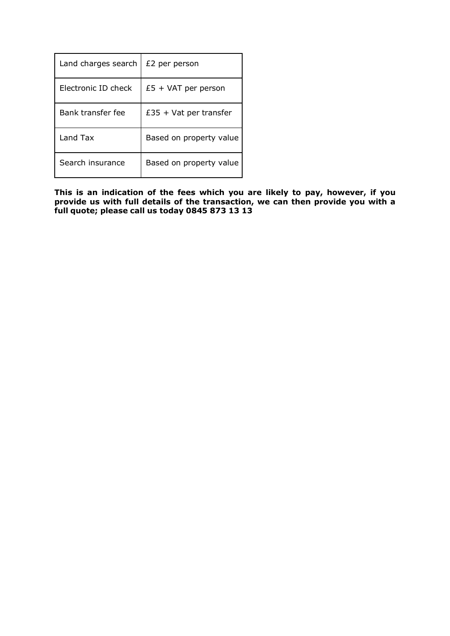| Land charges search | £2 per person            |
|---------------------|--------------------------|
| Electronic ID check | $£5 + VAT$ per person    |
| Bank transfer fee   | $£35 + Vat$ per transfer |
| Land Tax            | Based on property value  |
| Search insurance    | Based on property value  |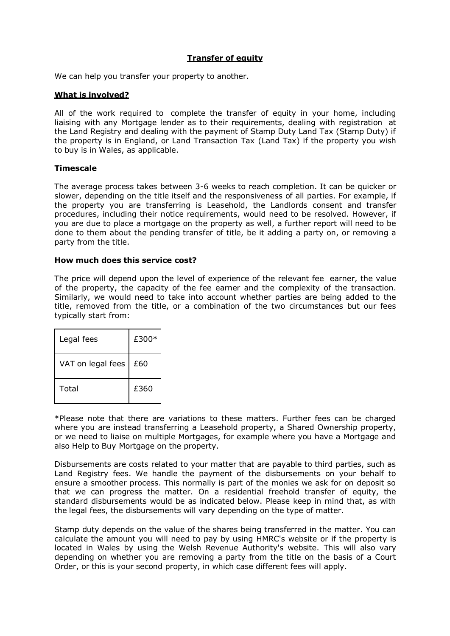# **Transfer of equity**

We can help you transfer your property to another.

#### **What is involved?**

All of the work required to complete the transfer of equity in your home, including liaising with any Mortgage lender as to their requirements, dealing with registration at the Land Registry and dealing with the payment of Stamp Duty Land Tax (Stamp Duty) if the property is in England, or Land Transaction Tax (Land Tax) if the property you wish to buy is in Wales, as applicable.

#### **Timescale**

The average process takes between 3-6 weeks to reach completion. It can be quicker or slower, depending on the title itself and the responsiveness of all parties. For example, if the property you are transferring is Leasehold, the Landlords consent and transfer procedures, including their notice requirements, would need to be resolved. However, if you are due to place a mortgage on the property as well, a further report will need to be done to them about the pending transfer of title, be it adding a party on, or removing a party from the title.

#### **How much does this service cost?**

The price will depend upon the level of experience of the relevant fee earner, the value of the property, the capacity of the fee earner and the complexity of the transaction. Similarly, we would need to take into account whether parties are being added to the title, removed from the title, or a combination of the two circumstances but our fees typically start from:

| Legal fees        | £300* |
|-------------------|-------|
| VAT on legal fees | £60   |
| Total             | £360  |

\*Please note that there are variations to these matters. Further fees can be charged where you are instead transferring a Leasehold property, a Shared Ownership property, or we need to liaise on multiple Mortgages, for example where you have a Mortgage and also Help to Buy Mortgage on the property.

Disbursements are costs related to your matter that are payable to third parties, such as Land Registry fees. We handle the payment of the disbursements on your behalf to ensure a smoother process. This normally is part of the monies we ask for on deposit so that we can progress the matter. On a residential freehold transfer of equity, the standard disbursements would be as indicated below. Please keep in mind that, as with the legal fees, the disbursements will vary depending on the type of matter.

Stamp duty depends on the value of the shares being transferred in the matter. You can calculate the amount you will need to pay by using [HMRC's website o](https://www.tax.service.gov.uk/calculate-stamp-duty-land-tax/%23/intro)r if the property is located in Wales [by using the Welsh Revenue Authority's website.](https://beta.gov.wales/land-transaction-tax-calculator) This will also vary depending on whether you are removing a party from the title on the basis of a Court Order, or this is your second property, in which case different fees will apply.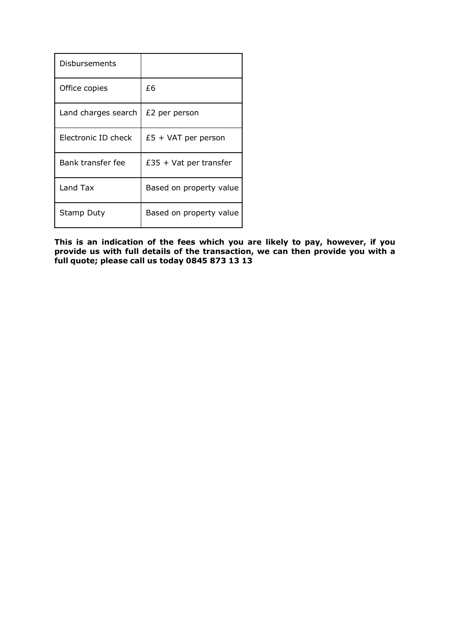| Disbursements       |                          |
|---------------------|--------------------------|
| Office copies       | £6                       |
| Land charges search | £2 per person            |
| Electronic ID check | $£5 + VAT$ per person    |
| Bank transfer fee   | $£35 + Vat$ per transfer |
| Land Tax            | Based on property value  |
| Stamp Duty          | Based on property value  |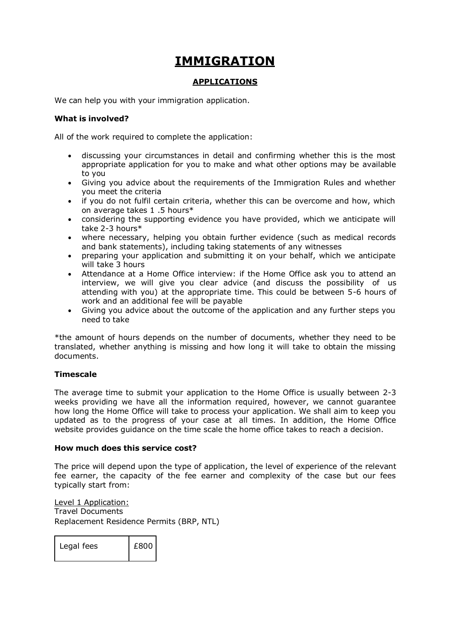# **IMMIGRATION**

#### **APPLICATIONS**

We can help you with your immigration application.

# **What is involved?**

All of the work required to complete the application:

- discussing your circumstances in detail and confirming whether this is the most appropriate application for you to make and what other options may be available to you
- Giving you advice about the requirements of the Immigration Rules and whether you meet the criteria
- if you do not fulfil certain criteria, whether this can be overcome and how, which on average takes 1 .5 hours\*
- considering the supporting evidence you have provided, which we anticipate will take 2-3 hour[s\\*](https://www.sra.org.uk/solicitors/guidance/ethics-guidance/price-transparency.page#note3)
- where necessary, helping you obtain further evidence (such as medical records and bank statements), including taking statements of any witnesses
- preparing your application and submitting it on your behalf, which we anticipate will take 3 hours
- Attendance at a Home Office interview: if the Home Office ask you to attend an interview, we will give you clear advice (and discuss the possibility of us attending with you) at the appropriate time. This could be between 5-6 hours of work and an additional fee will be payable
- Giving you advice about the outcome of the application and any further steps you need to take

\*the amount of hours depends on the number of documents, whether they need to be translated, whether anything is missing and how long it will take to obtain the missing documents.

# **Timescale**

The average time to submit your application to the Home Office is usually between 2-3 weeks providing we have all the information required, however, we cannot guarantee how long the Home Office will take to process your application. We shall aim to keep you updated as to the progress of your case at all times. In addition, the Home Office website provides guidance on the time scale the home office takes to reach a decision.

#### **How much does this service cost?**

The price will depend upon the type of application, the level of experience of the relevant fee earner, the capacity of the fee earner and complexity of the case but our fees typically start from:

Level 1 Application: Travel Documents Replacement Residence Permits (BRP, NTL)

| Legal fees | £800 |
|------------|------|
|            |      |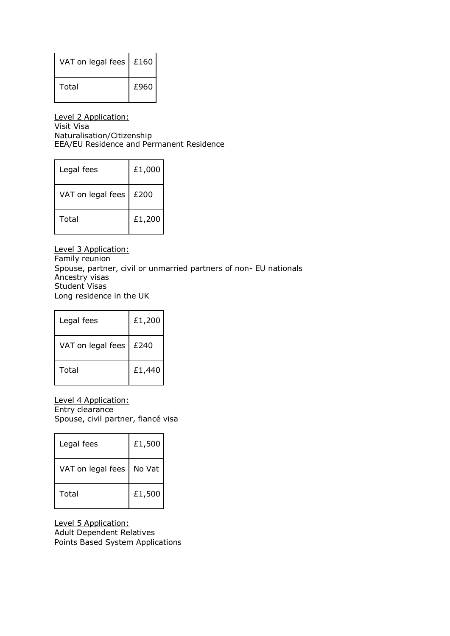| VAT on legal fees | £160 |
|-------------------|------|
| Total             | £960 |

Level 2 Application: Visit Visa Naturalisation/Citizenship EEA/EU Residence and Permanent Residence

| Legal fees        | £1,000 |
|-------------------|--------|
| VAT on legal fees | £200   |
| Total             | £1,200 |

Level 3 Application: Family reunion Spouse, partner, civil or unmarried partners of non- EU nationals Ancestry visas Student Visas Long residence in the UK

| Legal fees        | £1,200 |
|-------------------|--------|
| VAT on legal fees | £240   |
| Total             | £1,440 |

Level 4 Application: Entry clearance Spouse, civil partner, fiancé visa

| Legal fees        | £1,500 |
|-------------------|--------|
| VAT on legal fees | No Vat |
| Total             | £1,500 |

Level 5 Application: Adult Dependent Relatives Points Based System Applications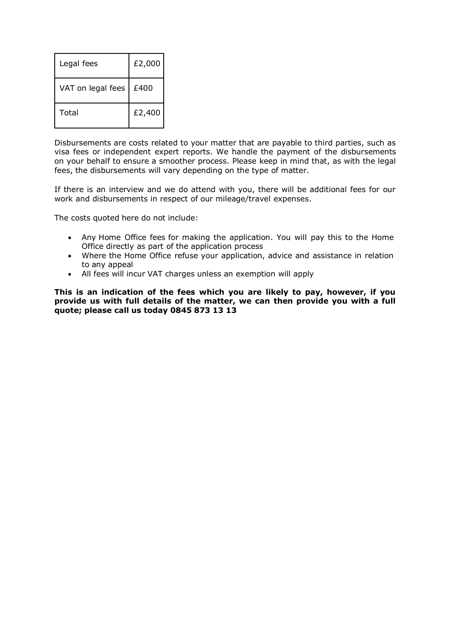| Legal fees        | £2,000 |
|-------------------|--------|
| VAT on legal fees | £400   |
| Total             | £2,400 |

Disbursements are costs related to your matter that are payable to third parties, such as visa fees or independent expert reports. We handle the payment of the disbursements on your behalf to ensure a smoother process. Please keep in mind that, as with the legal fees, the disbursements will vary depending on the type of matter.

If there is an interview and we do attend with you, there will be additional fees for our work and disbursements in respect of our mileage/travel expenses.

The costs quoted here do not include:

- Any [Home](https://www.gov.uk/government/publications/visa-regulations-revised-table) Office fees for making the application. You will pay this to the Home Office directly as part of the application process
- Where the Home Office refuse your application, advice and assistance in relation to any appeal
- All fees will incur VAT charges unless an exemption will apply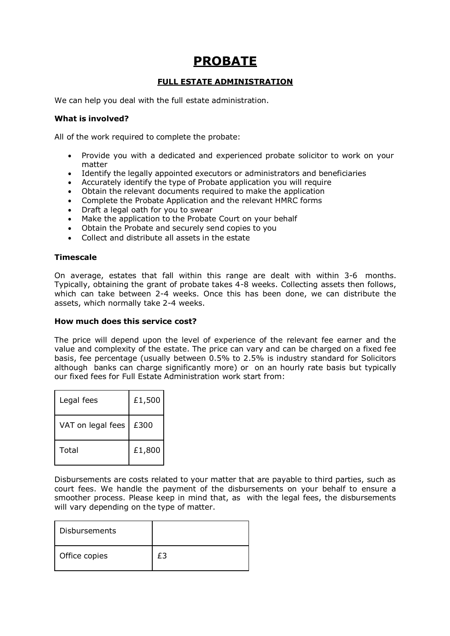# **PROBATE**

# **FULL ESTATE ADMINISTRATION**

We can help you deal with the full estate administration.

## **What is involved?**

All of the work required to complete the probate:

- Provide you with a dedicated and experienced probate solicitor to work on your matter
- Identify the legally appointed executors or administrators and beneficiaries
- Accurately identify the type of Probate application you will require
- Obtain the relevant documents required to make the application
- Complete the Probate Application and the relevant HMRC forms
- Draft a legal oath for you to swear
- Make the application to the Probate Court on your behalf
- Obtain the Probate and securely send copies to you
- Collect and distribute all assets in the estate

## **Timescale**

On average, estates that fall within this range are dealt with within 3-6 months. Typically, obtaining the grant of probate takes 4-8 weeks. Collecting assets then follows, which can take between 2-4 weeks. Once this has been done, we can distribute the assets, which normally take 2-4 weeks.

#### **How much does this service cost?**

The price will depend upon the level of experience of the relevant fee earner and the value and complexity of the estate. The price can vary and can be charged on a fixed fee basis, fee percentage (usually between 0.5% to 2.5% is industry standard for Solicitors although banks can charge significantly more) or on an hourly rate basis but typically our fixed fees for Full Estate Administration work start from:

| Legal fees        | £1,500 |
|-------------------|--------|
| VAT on legal fees | £300   |
| Total             | £1,800 |

Disbursements are costs related to your matter that are payable to third parties, such as court fees. We handle the payment of the disbursements on your behalf to ensure a smoother process. Please keep in mind that, as with the legal fees, the disbursements will vary depending on the type of matter.

| <b>Disbursements</b> |  |
|----------------------|--|
| Office copies        |  |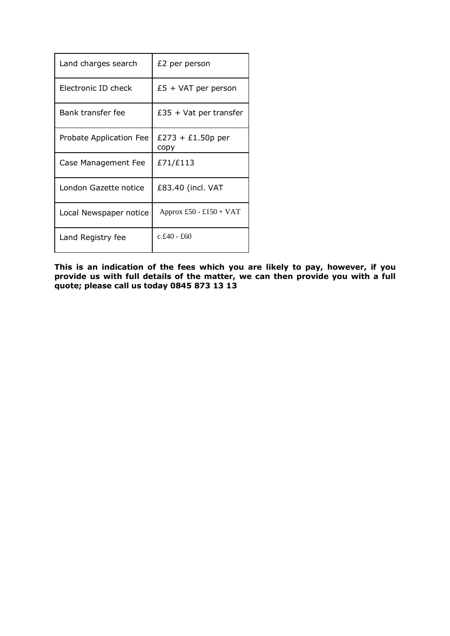| Land charges search     | £2 per person               |
|-------------------------|-----------------------------|
| Electronic ID check     | $£5 + VAT$ per person       |
| Bank transfer fee       | $£35 + Vat$ per transfer    |
| Probate Application Fee | $£273 + £1.50p$ per<br>copy |
| Case Management Fee     | £71/£113                    |
| London Gazette notice   | £83.40 (incl. VAT           |
| Local Newspaper notice  | Approx £50 - £150 + VAT     |
| Land Registry fee       | $c.f.40 - f.60$             |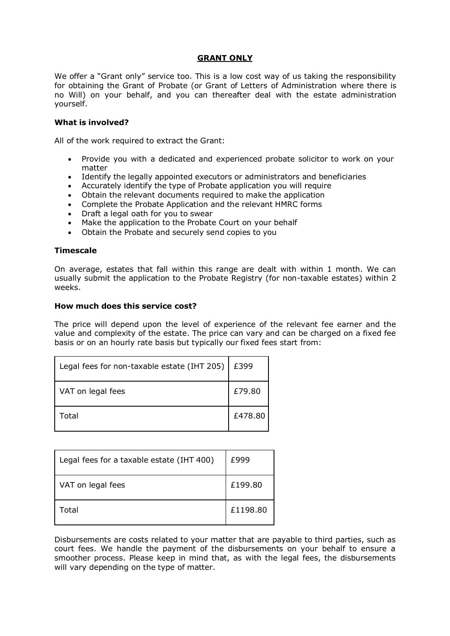#### **GRANT ONLY**

We offer a "Grant only" service too. This is a low cost way of us taking the responsibility for obtaining the Grant of Probate (or Grant of Letters of Administration where there is no Will) on your behalf, and you can thereafter deal with the estate administration yourself.

#### **What is involved?**

All of the work required to extract the Grant:

- Provide you with a dedicated and experienced probate solicitor to work on your matter
- Identify the legally appointed executors or administrators and beneficiaries
- Accurately identify the type of Probate application you will require
- Obtain the relevant documents required to make the application
- Complete the Probate Application and the relevant HMRC forms
- Draft a legal oath for you to swear
- Make the application to the Probate Court on your behalf
- Obtain the Probate and securely send copies to you

#### **Timescale**

On average, estates that fall within this range are dealt with within 1 month. We can usually submit the application to the Probate Registry (for non-taxable estates) within 2 weeks.

#### **How much does this service cost?**

The price will depend upon the level of experience of the relevant fee earner and the value and complexity of the estate. The price can vary and can be charged on a fixed fee basis or on an hourly rate basis but typically our fixed fees start from:

| Legal fees for non-taxable estate (IHT 205) | £399    |
|---------------------------------------------|---------|
| VAT on legal fees                           | £79.80  |
| Total                                       | £478.80 |

| Legal fees for a taxable estate (IHT 400) | £999     |
|-------------------------------------------|----------|
| VAT on legal fees                         | £199.80  |
| Total                                     | £1198.80 |

Disbursements are costs related to your matter that are payable to third parties, such as court fees. We handle the payment of the disbursements on your behalf to ensure a smoother process. Please keep in mind that, as with the legal fees, the disbursements will vary depending on the type of matter.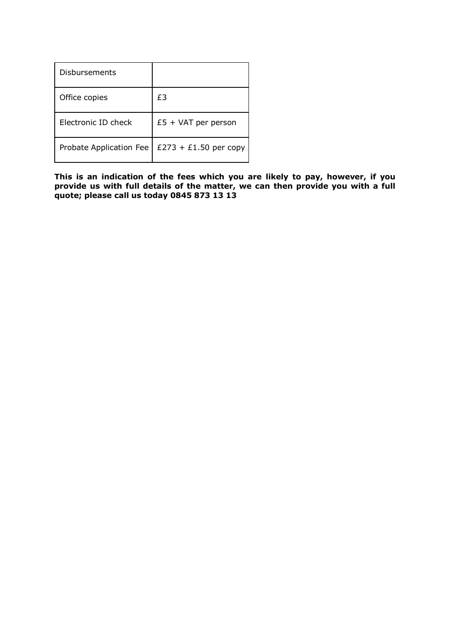| Disbursements           |                       |
|-------------------------|-----------------------|
| Office copies           | £3                    |
| Electronic ID check     | $£5 + VAT$ per person |
| Probate Application Fee | £273 + £1.50 per copy |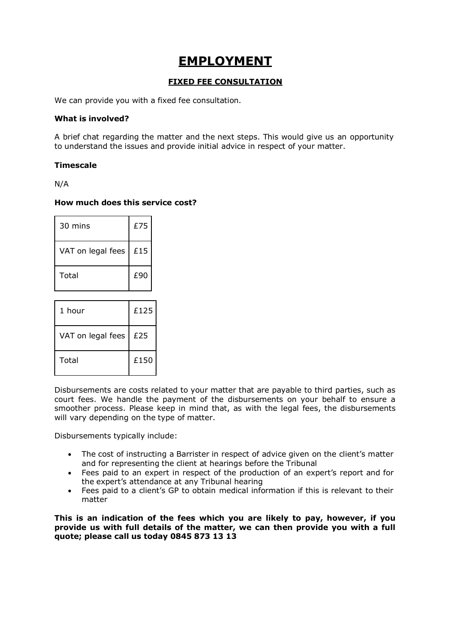# **EMPLOYMENT**

# **FIXED FEE CONSULTATION**

We can provide you with a fixed fee consultation.

## **What is involved?**

A brief chat regarding the matter and the next steps. This would give us an opportunity to understand the issues and provide initial advice in respect of your matter.

## **Timescale**

N/A

## **How much does this service cost?**

| 30 mins           | £75 |
|-------------------|-----|
| VAT on legal fees | £15 |
| Total             | £90 |

| 1 hour            | £125 |
|-------------------|------|
| VAT on legal fees | £25  |
| Total             | £150 |

Disbursements are costs related to your matter that are payable to third parties, such as court fees. We handle the payment of the disbursements on your behalf to ensure a smoother process. Please keep in mind that, as with the legal fees, the disbursements will vary depending on the type of matter.

Disbursements typically include:

- The cost of instructing a Barrister in respect of advice given on the client's matter and for representing the client at hearings before the Tribunal
- Fees paid to an expert in respect of the production of an expert's report and for the expert's attendance at any Tribunal hearing
- Fees paid to a client's GP to obtain medical information if this is relevant to their matter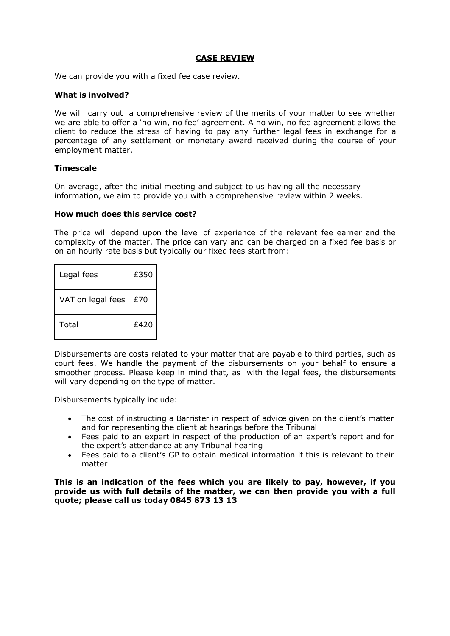#### **CASE REVIEW**

We can provide you with a fixed fee case review.

#### **What is involved?**

We will carry out a comprehensive review of the merits of your matter to see whether we are able to offer a 'no win, no fee' agreement. A no win, no fee agreement allows the client to reduce the stress of having to pay any further legal fees in exchange for a percentage of any settlement or monetary award received during the course of your employment matter.

#### **Timescale**

On average, after the initial meeting and subject to us having all the necessary information, we aim to provide you with a comprehensive review within 2 weeks.

#### **How much does this service cost?**

The price will depend upon the level of experience of the relevant fee earner and the complexity of the matter. The price can vary and can be charged on a fixed fee basis or on an hourly rate basis but typically our fixed fees start from:

| Legal fees        | £350 |
|-------------------|------|
| VAT on legal fees | £70  |
| Total             | £420 |

Disbursements are costs related to your matter that are payable to third parties, such as court fees. We handle the payment of the disbursements on your behalf to ensure a smoother process. Please keep in mind that, as with the legal fees, the disbursements will vary depending on the type of matter.

Disbursements typically include:

- The cost of instructing a Barrister in respect of advice given on the client's matter and for representing the client at hearings before the Tribunal
- Fees paid to an expert in respect of the production of an expert's report and for the expert's attendance at any Tribunal hearing
- Fees paid to a client's GP to obtain medical information if this is relevant to their matter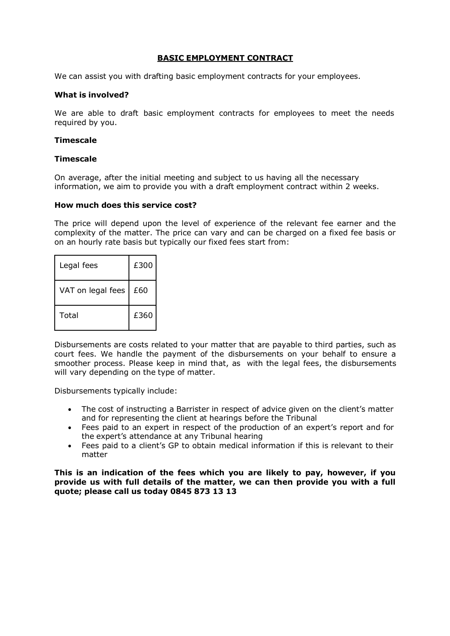#### **BASIC EMPLOYMENT CONTRACT**

We can assist you with drafting basic employment contracts for your employees.

#### **What is involved?**

We are able to draft basic employment contracts for employees to meet the needs required by you.

#### **Timescale**

#### **Timescale**

On average, after the initial meeting and subject to us having all the necessary information, we aim to provide you with a draft employment contract within 2 weeks.

#### **How much does this service cost?**

The price will depend upon the level of experience of the relevant fee earner and the complexity of the matter. The price can vary and can be charged on a fixed fee basis or on an hourly rate basis but typically our fixed fees start from:

| Legal fees        | £300 |
|-------------------|------|
| VAT on legal fees | £60  |
| Total             | £360 |

Disbursements are costs related to your matter that are payable to third parties, such as court fees. We handle the payment of the disbursements on your behalf to ensure a smoother process. Please keep in mind that, as with the legal fees, the disbursements will vary depending on the type of matter.

Disbursements typically include:

- The cost of instructing a Barrister in respect of advice given on the client's matter and for representing the client at hearings before the Tribunal
- Fees paid to an expert in respect of the production of an expert's report and for the expert's attendance at any Tribunal hearing
- Fees paid to a client's GP to obtain medical information if this is relevant to their matter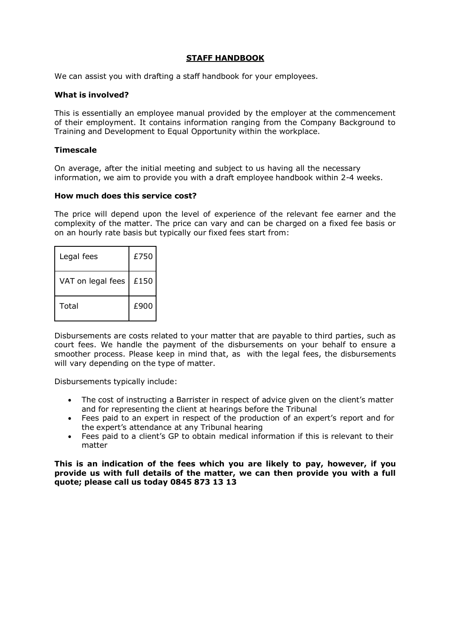#### **STAFF HANDBOOK**

We can assist you with drafting a staff handbook for your employees.

#### **What is involved?**

This is essentially an employee manual provided by the employer at the commencement of their employment. It contains information ranging from the Company Background to Training and Development to Equal Opportunity within the workplace.

#### **Timescale**

On average, after the initial meeting and subject to us having all the necessary information, we aim to provide you with a draft employee handbook within 2-4 weeks.

#### **How much does this service cost?**

The price will depend upon the level of experience of the relevant fee earner and the complexity of the matter. The price can vary and can be charged on a fixed fee basis or on an hourly rate basis but typically our fixed fees start from:

| Legal fees        | £750 |
|-------------------|------|
| VAT on legal fees | £150 |
| Total             | £900 |

Disbursements are costs related to your matter that are payable to third parties, such as court fees. We handle the payment of the disbursements on your behalf to ensure a smoother process. Please keep in mind that, as with the legal fees, the disbursements will vary depending on the type of matter.

Disbursements typically include:

- The cost of instructing a Barrister in respect of advice given on the client's matter and for representing the client at hearings before the Tribunal
- Fees paid to an expert in respect of the production of an expert's report and for the expert's attendance at any Tribunal hearing
- Fees paid to a client's GP to obtain medical information if this is relevant to their matter